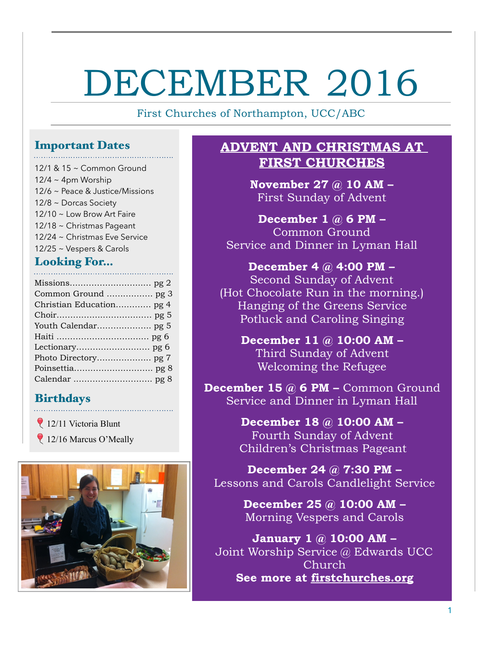# DECEMBER 2016

First Churches of Northampton, UCC/ABC

# Important Dates

12/1 & 15 ~ Common Ground  $12/4 \sim 4$ pm Worship 12/6 ~ Peace & Justice/Missions 12/8 ~ Dorcas Society 12/10 ~ Low Brow Art Faire 12/18 ~ Christmas Pageant 12/24 ~ Christmas Eve Service 12/25 ~ Vespers & Carols

# Looking For…

| Common Ground  pg 3      |
|--------------------------|
| Christian Education pg 4 |
|                          |
|                          |
|                          |
|                          |
|                          |
|                          |
|                          |

# Birthdays

12/11 Victoria Blunt 12/16 Marcus O'Meally



# **ADVENT AND CHRISTMAS AT FIRST CHURCHES**

**November 27 @ 10 AM –**  First Sunday of Advent

**December 1 @ 6 PM –**  Common Ground Service and Dinner in Lyman Hall

**December 4 @ 4:00 PM –** Second Sunday of Advent (Hot Chocolate Run in the morning.) Hanging of the Greens Service Potluck and Caroling Singing

**December 11 @ 10:00 AM –**  Third Sunday of Advent Welcoming the Refugee

**December 15 @ 6 PM – Common Ground** Service and Dinner in Lyman Hall

> **December 18 @ 10:00 AM –**  Fourth Sunday of Advent Children's Christmas Pageant

**December 24 @ 7:30 PM –**  Lessons and Carols Candlelight Service

> **December 25 @ 10:00 AM –**  Morning Vespers and Carols

**January 1 @ 10:00 AM –**  Joint Worship Service @ Edwards UCC Church **See more at [firstchurches.org](http://www.firstchurches.org)**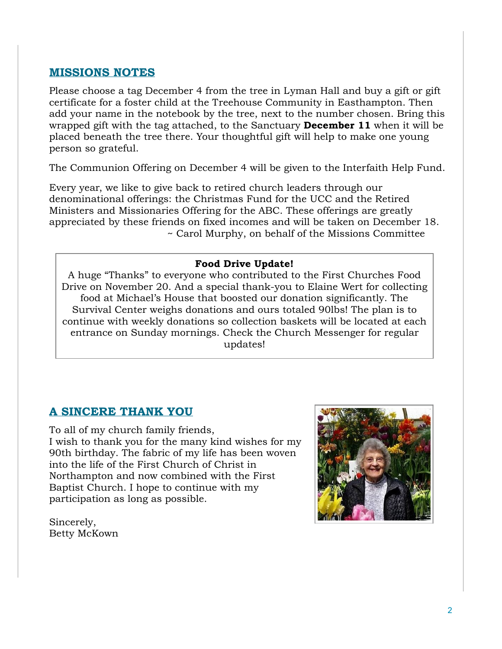# **MISSIONS NOTES**

Please choose a tag December 4 from the tree in Lyman Hall and buy a gift or gift certificate for a foster child at the Treehouse Community in Easthampton. Then add your name in the notebook by the tree, next to the number chosen. Bring this wrapped gift with the tag attached, to the Sanctuary **December 11** when it will be placed beneath the tree there. Your thoughtful gift will help to make one young person so grateful.

The Communion Offering on December 4 will be given to the Interfaith Help Fund.

Every year, we like to give back to retired church leaders through our denominational offerings: the Christmas Fund for the UCC and the Retired Ministers and Missionaries Offering for the ABC. These offerings are greatly appreciated by these friends on fixed incomes and will be taken on December 18. ~ Carol Murphy, on behalf of the Missions Committee

#### **Food Drive Update!**

A huge "Thanks" to everyone who contributed to the First Churches Food Drive on November 20. And a special thank-you to Elaine Wert for collecting food at Michael's House that boosted our donation significantly. The Survival Center weighs donations and ours totaled 90lbs! The plan is to continue with weekly donations so collection baskets will be located at each entrance on Sunday mornings. Check the Church Messenger for regular updates!

# **A SINCERE THANK YOU**

To all of my church family friends, I wish to thank you for the many kind wishes for my 90th birthday. The fabric of my life has been woven into the life of the First Church of Christ in Northampton and now combined with the First Baptist Church. I hope to continue with my participation as long as possible.

Sincerely, Betty McKown

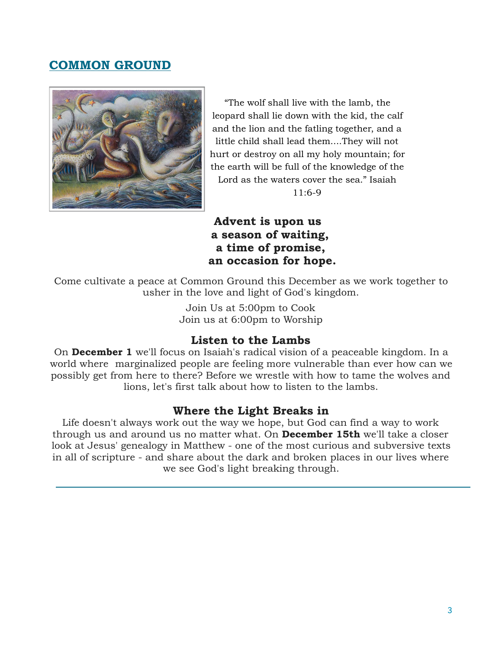# **COMMON GROUND**



"The wolf shall live with the lamb, the leopard shall lie down with the kid, the calf and the lion and the fatling together, and a little child shall lead them....They will not hurt or destroy on all my holy mountain; for the earth will be full of the knowledge of the Lord as the waters cover the sea." Isaiah

11:6-9

# **Advent is upon us a season of waiting, a time of promise, an occasion for hope.**

Come cultivate a peace at Common Ground this December as we work together to usher in the love and light of God's kingdom.

> Join Us at 5:00pm to Cook Join us at 6:00pm to Worship

# **Listen to the Lambs**

On **December 1** we'll focus on Isaiah's radical vision of a peaceable kingdom. In a world where marginalized people are feeling more vulnerable than ever how can we possibly get from here to there? Before we wrestle with how to tame the wolves and lions, let's first talk about how to listen to the lambs.

#### **Where the Light Breaks in**

Life doesn't always work out the way we hope, but God can find a way to work through us and around us no matter what. On **December 15th** we'll take a closer look at Jesus' genealogy in Matthew - one of the most curious and subversive texts in all of scripture - and share about the dark and broken places in our lives where we see God's light breaking through.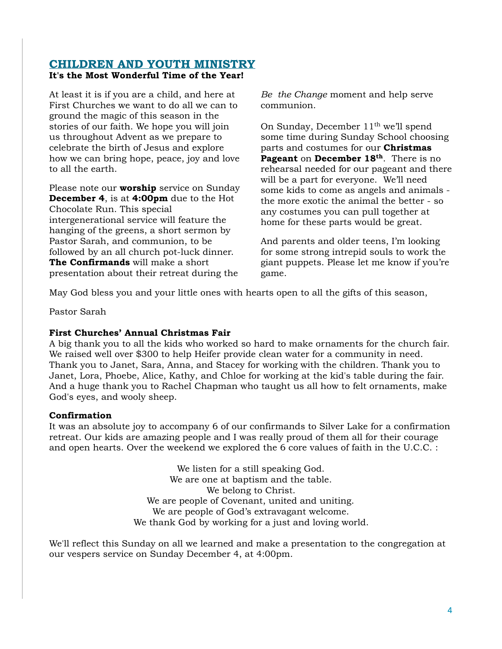#### **CHILDREN AND YOUTH MINISTRY It's the Most Wonderful Time of the Year!**

At least it is if you are a child, and here at First Churches we want to do all we can to ground the magic of this season in the stories of our faith. We hope you will join us throughout Advent as we prepare to celebrate the birth of Jesus and explore how we can bring hope, peace, joy and love to all the earth.

Please note our **worship** service on Sunday **December 4**, is at **4:00pm** due to the Hot Chocolate Run. This special intergenerational service will feature the hanging of the greens, a short sermon by Pastor Sarah, and communion, to be followed by an all church pot-luck dinner. **The Confirmands** will make a short presentation about their retreat during the

*Be the Change* moment and help serve communion.

On Sunday, December 11<sup>th</sup> we'll spend some time during Sunday School choosing parts and costumes for our **Christmas Pageant** on **December 18th**. There is no rehearsal needed for our pageant and there will be a part for everyone. We'll need some kids to come as angels and animals the more exotic the animal the better - so any costumes you can pull together at home for these parts would be great.

And parents and older teens, I'm looking for some strong intrepid souls to work the giant puppets. Please let me know if you're game.

May God bless you and your little ones with hearts open to all the gifts of this season,

Pastor Sarah

#### **First Churches' Annual Christmas Fair**

A big thank you to all the kids who worked so hard to make ornaments for the church fair. We raised well over \$300 to help Heifer provide clean water for a community in need. Thank you to Janet, Sara, Anna, and Stacey for working with the children. Thank you to Janet, Lora, Phoebe, Alice, Kathy, and Chloe for working at the kid's table during the fair. And a huge thank you to Rachel Chapman who taught us all how to felt ornaments, make God's eyes, and wooly sheep.

#### **Confirmation**

It was an absolute joy to accompany 6 of our confirmands to Silver Lake for a confirmation retreat. Our kids are amazing people and I was really proud of them all for their courage and open hearts. Over the weekend we explored the 6 core values of faith in the U.C.C. :

> We listen for a still speaking God. We are one at baptism and the table. We belong to Christ. We are people of Covenant, united and uniting. We are people of God's extravagant welcome. We thank God by working for a just and loving world.

We'll reflect this Sunday on all we learned and make a presentation to the congregation at our vespers service on Sunday December 4, at 4:00pm.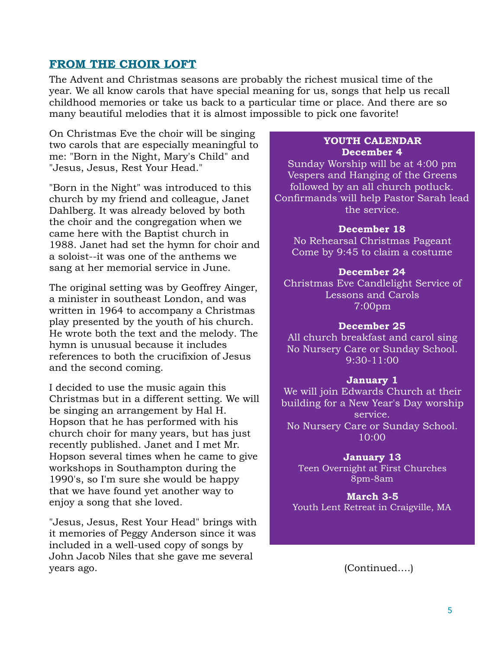#### **FROM THE CHOIR LOFT**

The Advent and Christmas seasons are probably the richest musical time of the year. We all know carols that have special meaning for us, songs that help us recall childhood memories or take us back to a particular time or place. And there are so many beautiful melodies that it is almost impossible to pick one favorite!

On Christmas Eve the choir will be singing two carols that are especially meaningful to me: "Born in the Night, Mary's Child" and "Jesus, Jesus, Rest Your Head."

"Born in the Night" was introduced to this church by my friend and colleague, Janet Dahlberg. It was already beloved by both the choir and the congregation when we came here with the Baptist church in 1988. Janet had set the hymn for choir and a soloist--it was one of the anthems we sang at her memorial service in June.

The original setting was by Geoffrey Ainger, a minister in southeast London, and was written in 1964 to accompany a Christmas play presented by the youth of his church. He wrote both the text and the melody. The hymn is unusual because it includes references to both the crucifixion of Jesus and the second coming.

I decided to use the music again this Christmas but in a different setting. We will be singing an arrangement by Hal H. Hopson that he has performed with his church choir for many years, but has just recently published. Janet and I met Mr. Hopson several times when he came to give workshops in Southampton during the 1990's, so I'm sure she would be happy that we have found yet another way to enjoy a song that she loved.

"Jesus, Jesus, Rest Your Head" brings with it memories of Peggy Anderson since it was included in a well-used copy of songs by John Jacob Niles that she gave me several years ago. (Continued….)

#### **YOUTH CALENDAR December 4**

Sunday Worship will be at 4:00 pm Vespers and Hanging of the Greens followed by an all church potluck. Confirmands will help Pastor Sarah lead the service.

#### **December 18**

No Rehearsal Christmas Pageant Come by 9:45 to claim a costume

#### **December 24**

Christmas Eve Candlelight Service of Lessons and Carols 7:00pm

#### **December 25**

All church breakfast and carol sing No Nursery Care or Sunday School. 9:30-11:00

#### **January 1**

We will join Edwards Church at their building for a New Year's Day worship service. No Nursery Care or Sunday School. 10:00

#### **January 13**

Teen Overnight at First Churches 8pm-8am

**March 3-5** Youth Lent Retreat in Craigville, MA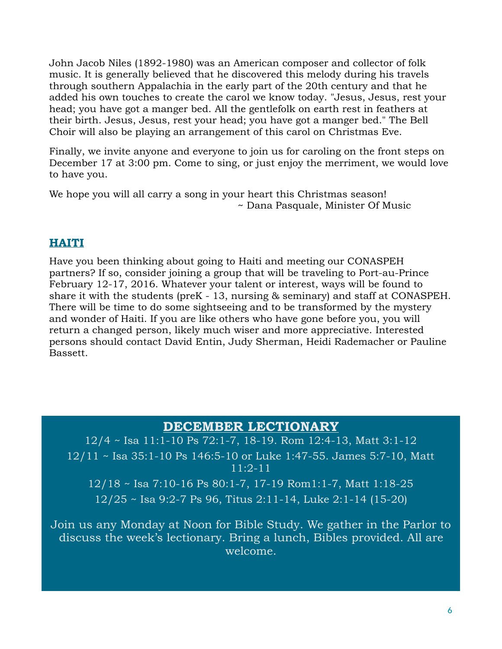John Jacob Niles (1892-1980) was an American composer and collector of folk music. It is generally believed that he discovered this melody during his travels through southern Appalachia in the early part of the 20th century and that he added his own touches to create the carol we know today. "Jesus, Jesus, rest your head; you have got a manger bed. All the gentlefolk on earth rest in feathers at their birth. Jesus, Jesus, rest your head; you have got a manger bed." The Bell Choir will also be playing an arrangement of this carol on Christmas Eve.

Finally, we invite anyone and everyone to join us for caroling on the front steps on December 17 at 3:00 pm. Come to sing, or just enjoy the merriment, we would love to have you.

We hope you will all carry a song in your heart this Christmas season! ~ Dana Pasquale, Minister Of Music

# **HAITI**

Have you been thinking about going to Haiti and meeting our CONASPEH partners? If so, consider joining a group that will be traveling to Port-au-Prince February 12-17, 2016. Whatever your talent or interest, ways will be found to share it with the students (preK - 13, nursing & seminary) and staff at CONASPEH. There will be time to do some sightseeing and to be transformed by the mystery and wonder of Haiti. If you are like others who have gone before you, you will return a changed person, likely much wiser and more appreciative. Interested persons should contact David Entin, Judy Sherman, Heidi Rademacher or Pauline Bassett.

# **DECEMBER LECTIONARY**

12/4 ~ Isa 11:1-10 Ps 72:1-7, 18-19. Rom 12:4-13, Matt 3:1-12 12/11 ~ Isa 35:1-10 Ps 146:5-10 or Luke 1:47-55. James 5:7-10, Matt 11:2-11 12/18 ~ Isa 7:10-16 Ps 80:1-7, 17-19 Rom1:1-7, Matt 1:18-25 12/25 ~ Isa 9:2-7 Ps 96, Titus 2:11-14, Luke 2:1-14 (15-20)

Join us any Monday at Noon for Bible Study. We gather in the Parlor to discuss the week's lectionary. Bring a lunch, Bibles provided. All are welcome.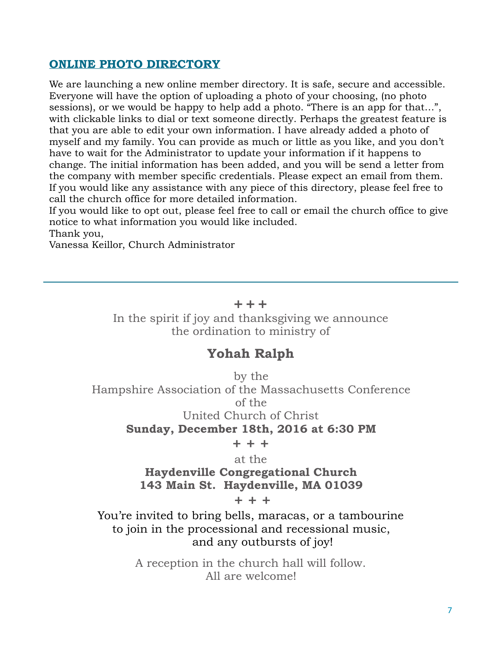# **ONLINE PHOTO DIRECTORY**

We are launching a new online member directory. It is safe, secure and accessible. Everyone will have the option of uploading a photo of your choosing, (no photo sessions), or we would be happy to help add a photo. "There is an app for that…", with clickable links to dial or text someone directly. Perhaps the greatest feature is that you are able to edit your own information. I have already added a photo of myself and my family. You can provide as much or little as you like, and you don't have to wait for the Administrator to update your information if it happens to change. The initial information has been added, and you will be send a letter from the company with member specific credentials. Please expect an email from them. If you would like any assistance with any piece of this directory, please feel free to call the church office for more detailed information.

If you would like to opt out, please feel free to call or email the church office to give notice to what information you would like included.

Thank you,

Vanessa Keillor, Church Administrator

#### **+ + +**

In the spirit if joy and thanksgiving we announce the ordination to ministry of

# **Yohah Ralph**

by the Hampshire Association of the Massachusetts Conference of the United Church of Christ **Sunday, December 18th, 2016 at 6:30 PM** 

**+ + +** 

#### at the

#### **Haydenville Congregational Church 143 Main St. Haydenville, MA 01039**

**+ + +**

You're invited to bring bells, maracas, or a tambourine to join in the processional and recessional music, and any outbursts of joy!

> A reception in the church hall will follow. All are welcome!